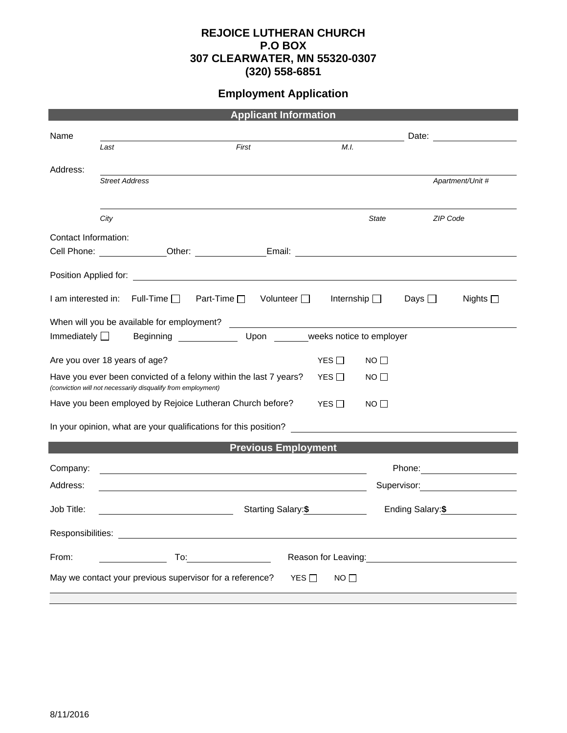## **REJOICE LUTHERAN CHURCH P.O BOX 307 CLEARWATER, MN 55320-0307 (320) 558-6851**

## **Employment Application**

| <b>Applicant Information</b>                                          |                                                              |                                                                                                                                                                                                                                      |                                                                                                                |                 |                  |                                                                                                                                                                                                                                      |  |  |
|-----------------------------------------------------------------------|--------------------------------------------------------------|--------------------------------------------------------------------------------------------------------------------------------------------------------------------------------------------------------------------------------------|----------------------------------------------------------------------------------------------------------------|-----------------|------------------|--------------------------------------------------------------------------------------------------------------------------------------------------------------------------------------------------------------------------------------|--|--|
| Name                                                                  |                                                              |                                                                                                                                                                                                                                      |                                                                                                                |                 |                  |                                                                                                                                                                                                                                      |  |  |
|                                                                       | Last                                                         | First                                                                                                                                                                                                                                | M.I.                                                                                                           |                 |                  |                                                                                                                                                                                                                                      |  |  |
| Address:                                                              |                                                              |                                                                                                                                                                                                                                      |                                                                                                                |                 |                  |                                                                                                                                                                                                                                      |  |  |
|                                                                       | <b>Street Address</b>                                        |                                                                                                                                                                                                                                      |                                                                                                                |                 |                  | Apartment/Unit #                                                                                                                                                                                                                     |  |  |
|                                                                       |                                                              |                                                                                                                                                                                                                                      |                                                                                                                |                 |                  |                                                                                                                                                                                                                                      |  |  |
|                                                                       | City                                                         |                                                                                                                                                                                                                                      |                                                                                                                | State           | <b>ZIP Code</b>  |                                                                                                                                                                                                                                      |  |  |
| Contact Information:                                                  |                                                              |                                                                                                                                                                                                                                      |                                                                                                                |                 |                  |                                                                                                                                                                                                                                      |  |  |
|                                                                       |                                                              | Cell Phone: Cell Phone: Cher: Cher: Email: Cell Phone: Cell Phone: Cell Phone: Chercal Chercal Chercal Chercal Chercal Chercal Chercal Chercal Chercal Chercal Chercal Chercal Chercal Chercal Chercal Chercal Chercal Chercal       |                                                                                                                |                 |                  |                                                                                                                                                                                                                                      |  |  |
|                                                                       |                                                              |                                                                                                                                                                                                                                      |                                                                                                                |                 |                  |                                                                                                                                                                                                                                      |  |  |
|                                                                       | $l$ am interested in: Full-Time $\Box$                       | Part-Time $\square$                                                                                                                                                                                                                  | Volunteer $\Box$<br>Internship $\Box$                                                                          |                 | Days $\square$   | Nights $\square$                                                                                                                                                                                                                     |  |  |
|                                                                       |                                                              |                                                                                                                                                                                                                                      |                                                                                                                |                 |                  |                                                                                                                                                                                                                                      |  |  |
| Beginning Upon Weeks notice to employer<br>Immediately $\Box$         |                                                              |                                                                                                                                                                                                                                      |                                                                                                                |                 |                  |                                                                                                                                                                                                                                      |  |  |
|                                                                       | Are you over 18 years of age?                                |                                                                                                                                                                                                                                      | YES $\Box$                                                                                                     | NO <sub>1</sub> |                  |                                                                                                                                                                                                                                      |  |  |
|                                                                       | (conviction will not necessarily disqualify from employment) | Have you ever been convicted of a felony within the last 7 years?                                                                                                                                                                    | YES $\Box$                                                                                                     | $NO$ $\Box$     |                  |                                                                                                                                                                                                                                      |  |  |
|                                                                       |                                                              | Have you been employed by Rejoice Lutheran Church before?                                                                                                                                                                            | YES $\Box$                                                                                                     | $NO$ $\Box$     |                  |                                                                                                                                                                                                                                      |  |  |
| In your opinion, what are your qualifications for this position?      |                                                              |                                                                                                                                                                                                                                      |                                                                                                                |                 |                  |                                                                                                                                                                                                                                      |  |  |
|                                                                       |                                                              |                                                                                                                                                                                                                                      | <b>Previous Employment</b>                                                                                     |                 |                  |                                                                                                                                                                                                                                      |  |  |
| Company:                                                              |                                                              |                                                                                                                                                                                                                                      |                                                                                                                |                 |                  | Phone: <u>with the set of the set of the set of the set of the set of the set of the set of the set of the set of the set of the set of the set of the set of the set of the set of the set of the set of the set of the set of </u> |  |  |
| Address:                                                              |                                                              |                                                                                                                                                                                                                                      |                                                                                                                |                 |                  | Supervisor: Victor Communication Communication                                                                                                                                                                                       |  |  |
| Job Title:                                                            | <u> 1990 - Johann Barbara, martin a</u>                      | Starting Salary: \$                                                                                                                                                                                                                  |                                                                                                                |                 | Ending Salary:\$ |                                                                                                                                                                                                                                      |  |  |
| Responsibilities:                                                     |                                                              |                                                                                                                                                                                                                                      |                                                                                                                |                 |                  |                                                                                                                                                                                                                                      |  |  |
| From:                                                                 | To:                                                          | <u>and the community of the community of the community of the community of the community of the community of the community of the community of the community of the community of the community of the community of the community</u> | Reason for Leaving: The above the set of the set of the set of the set of the set of the set of the set of the |                 |                  |                                                                                                                                                                                                                                      |  |  |
| May we contact your previous supervisor for a reference?<br>YES<br>NO |                                                              |                                                                                                                                                                                                                                      |                                                                                                                |                 |                  |                                                                                                                                                                                                                                      |  |  |
|                                                                       |                                                              |                                                                                                                                                                                                                                      |                                                                                                                |                 |                  |                                                                                                                                                                                                                                      |  |  |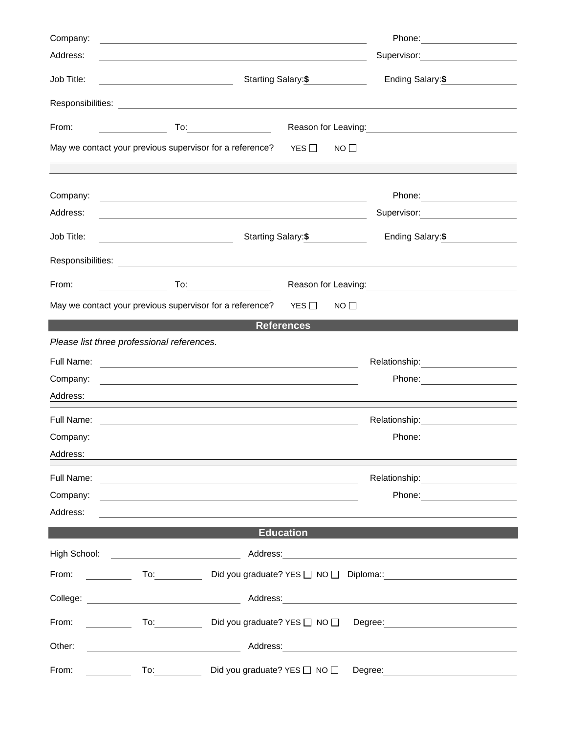| Company:   |                                                                                                                                                                                                                                |                                                                                                                                                                                                                                        |                                                                                                                                                                                                                                |  |  |
|------------|--------------------------------------------------------------------------------------------------------------------------------------------------------------------------------------------------------------------------------|----------------------------------------------------------------------------------------------------------------------------------------------------------------------------------------------------------------------------------------|--------------------------------------------------------------------------------------------------------------------------------------------------------------------------------------------------------------------------------|--|--|
| Address:   |                                                                                                                                                                                                                                |                                                                                                                                                                                                                                        | Supervisor: William Supervisor:                                                                                                                                                                                                |  |  |
| Job Title: |                                                                                                                                                                                                                                | Starting Salary:\$                                                                                                                                                                                                                     | Ending Salary:\$                                                                                                                                                                                                               |  |  |
|            |                                                                                                                                                                                                                                |                                                                                                                                                                                                                                        |                                                                                                                                                                                                                                |  |  |
| From:      | <u> Liston de la construcción de la construcción de la construcción de la construcción de la construcción de la c</u>                                                                                                          |                                                                                                                                                                                                                                        | Reason for Leaving:<br><u> Reason</u> for Leaving:                                                                                                                                                                             |  |  |
|            | May we contact your previous supervisor for a reference?                                                                                                                                                                       | YES $\square$<br>$NO$ $\Box$                                                                                                                                                                                                           |                                                                                                                                                                                                                                |  |  |
|            |                                                                                                                                                                                                                                |                                                                                                                                                                                                                                        |                                                                                                                                                                                                                                |  |  |
| Company:   | <u> 1989 - Johann Stoff, amerikansk politiker (* 1908)</u>                                                                                                                                                                     |                                                                                                                                                                                                                                        |                                                                                                                                                                                                                                |  |  |
| Address:   | <u> 1989 - Johann Stoff, deutscher Stoffen und der Stoffen und der Stoffen und der Stoffen und der Stoffen und der</u>                                                                                                         |                                                                                                                                                                                                                                        | Supervisor: Victor Communication Communication Communication Communication Communication Communication Communication                                                                                                           |  |  |
| Job Title: | <u> 1980 - Johann Barn, fransk politik (</u>                                                                                                                                                                                   | Starting Salary: \$                                                                                                                                                                                                                    | Ending Salary: \$                                                                                                                                                                                                              |  |  |
|            |                                                                                                                                                                                                                                |                                                                                                                                                                                                                                        |                                                                                                                                                                                                                                |  |  |
| From:      |                                                                                                                                                                                                                                | Reason for Leaving:<br><u>Next and the manufacture of the set of the set of the set of the set of the set of the set of the set of the set of the set of the set of the set of the set of the set of the set of the set of the set</u> |                                                                                                                                                                                                                                |  |  |
|            | May we contact your previous supervisor for a reference? $YES \Box$                                                                                                                                                            | $NO$ $\Box$                                                                                                                                                                                                                            |                                                                                                                                                                                                                                |  |  |
|            |                                                                                                                                                                                                                                | <b>References</b>                                                                                                                                                                                                                      |                                                                                                                                                                                                                                |  |  |
|            | Please list three professional references.                                                                                                                                                                                     |                                                                                                                                                                                                                                        |                                                                                                                                                                                                                                |  |  |
|            |                                                                                                                                                                                                                                |                                                                                                                                                                                                                                        |                                                                                                                                                                                                                                |  |  |
| Company:   |                                                                                                                                                                                                                                |                                                                                                                                                                                                                                        |                                                                                                                                                                                                                                |  |  |
| Address:   | <u> 1989 - Johann Stoff, amerikansk politiker (* 1908)</u>                                                                                                                                                                     |                                                                                                                                                                                                                                        |                                                                                                                                                                                                                                |  |  |
| Full Name: | <u> 1989 - Johann Harry Harry Harry Harry Harry Harry Harry Harry Harry Harry Harry Harry Harry Harry Harry Harry</u>                                                                                                          |                                                                                                                                                                                                                                        | Relationship: 2000                                                                                                                                                                                                             |  |  |
| Company:   |                                                                                                                                                                                                                                |                                                                                                                                                                                                                                        |                                                                                                                                                                                                                                |  |  |
| Address:   |                                                                                                                                                                                                                                |                                                                                                                                                                                                                                        |                                                                                                                                                                                                                                |  |  |
|            |                                                                                                                                                                                                                                |                                                                                                                                                                                                                                        | Relationship: Network of the state of the state of the state of the state of the state of the state of the state of the state of the state of the state of the state of the state of the state of the state of the state of th |  |  |
| Company:   | <u> 1989 - Johann Harry Barn, mars ar brenin beskriuwer yn de ferfinning yn de ferfinning yn de ferfinning yn de</u>                                                                                                           |                                                                                                                                                                                                                                        |                                                                                                                                                                                                                                |  |  |
| Address:   |                                                                                                                                                                                                                                |                                                                                                                                                                                                                                        |                                                                                                                                                                                                                                |  |  |
|            |                                                                                                                                                                                                                                | <b>Education</b>                                                                                                                                                                                                                       |                                                                                                                                                                                                                                |  |  |
|            |                                                                                                                                                                                                                                |                                                                                                                                                                                                                                        |                                                                                                                                                                                                                                |  |  |
| From:      | $\overline{a}$                                                                                                                                                                                                                 |                                                                                                                                                                                                                                        |                                                                                                                                                                                                                                |  |  |
|            |                                                                                                                                                                                                                                |                                                                                                                                                                                                                                        |                                                                                                                                                                                                                                |  |  |
| From:      | $\overline{a}$ To: $\overline{a}$                                                                                                                                                                                              |                                                                                                                                                                                                                                        |                                                                                                                                                                                                                                |  |  |
| Other:     | <u> 1980 - Johann Barnett, fransk politik (</u>                                                                                                                                                                                |                                                                                                                                                                                                                                        |                                                                                                                                                                                                                                |  |  |
| From:      | To: the contract of the contract of the contract of the contract of the contract of the contract of the contract of the contract of the contract of the contract of the contract of the contract of the contract of the contra | Did you graduate? YES □ NO □<br>Degree:                                                                                                                                                                                                |                                                                                                                                                                                                                                |  |  |
|            |                                                                                                                                                                                                                                |                                                                                                                                                                                                                                        |                                                                                                                                                                                                                                |  |  |